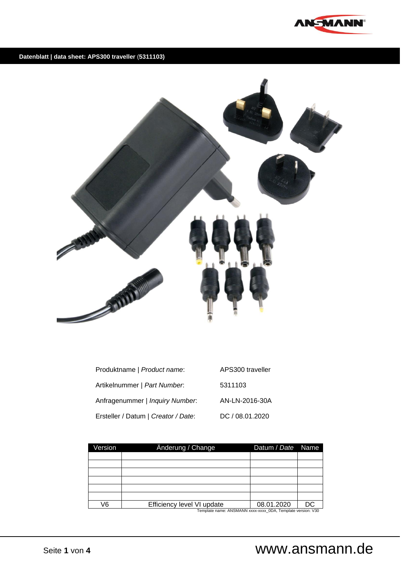

### **Datenblatt | data sheet: APS300 traveller** (**5311103)**



| Produktname   Product name:          | APS300 traveller |
|--------------------------------------|------------------|
| Artikelnummer   <i>Part Number</i> : | 5311103          |
| Anfragenummer   Inquiry Number.      | AN-LN-2016-30A   |
| Ersteller / Datum   Creator / Date:  | DC / 08.01.2020  |

| Version | Anderung / Change          | Datum / Date Name |    |  |  |
|---------|----------------------------|-------------------|----|--|--|
|         |                            |                   |    |  |  |
|         |                            |                   |    |  |  |
|         |                            |                   |    |  |  |
|         |                            |                   |    |  |  |
|         |                            |                   |    |  |  |
|         |                            |                   |    |  |  |
| 76      | Efficiency level VI update | 08.01.2020        | DC |  |  |
|         |                            |                   |    |  |  |

Template name: ANSMANN xxxx-xxxx\_0DA, Template version: V30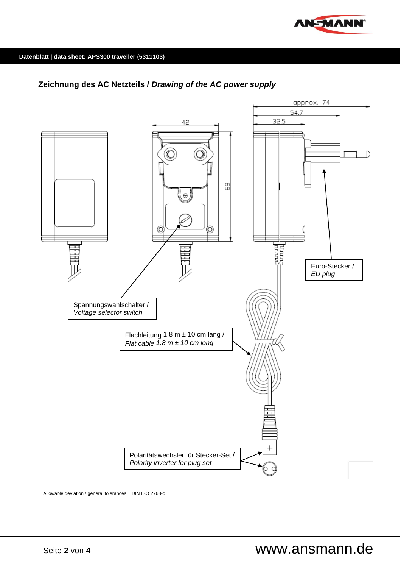

## **Zeichnung des AC Netzteils /** *Drawing of the AC power supply*



Allowable deviation / general tolerances DIN ISO 2768-c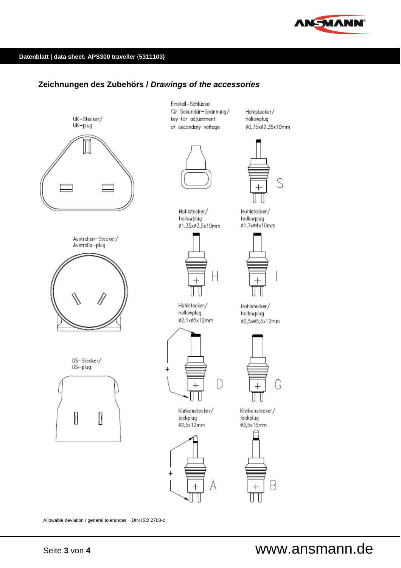

#### **Datenblatt | data sheet: APS300 traveller** (**5311103)**

### **Zeichnungen des Zubehörs /** *Drawings of the accessories*



Allowable deviation / general tolerances DIN ISO 2768-c